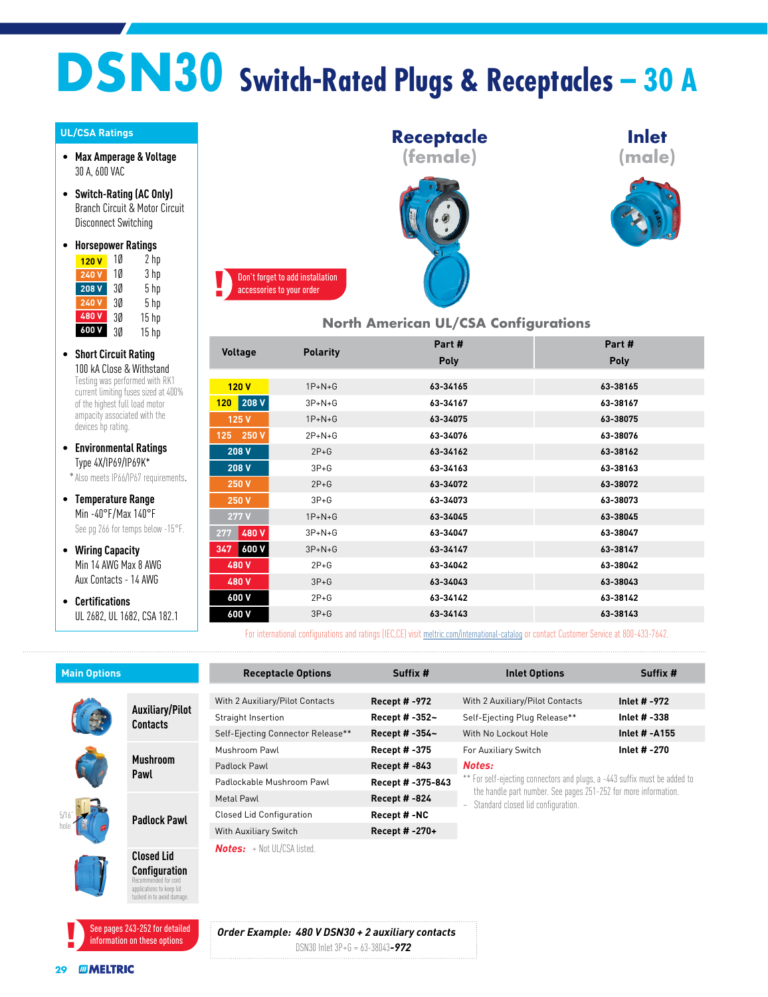# **DSN30 Switch-Rated Plugs & Receptacles – 30 A**

### **UL/CSA Ratings**

- **Max Amperage & Voltage** 30 A, 600 VAC
- **Switch-Rating (AC Only)** Branch Circuit & Motor Circuit Disconnect Switching
- **Horsepower Ratings** <mark>120 V</mark> 1Ø 2 hp

| 240V  | 10 | 3 hp             |
|-------|----|------------------|
| 208 V | 30 | 5 hp             |
| 240V  | 3Ø | 5 hp             |
| 480V  | 3Ø | 15 <sub>hp</sub> |
| 600 V | 3Ø | 15 <sub>hp</sub> |

- **Short Circuit Rating** 100 kA Close & Withstand Testing was performed with RK1 current limiting fuses sized at 400% of the highest full load motor ampacity associated with the devices hp rating.
- **Environmental Ratings** Type 4X/IP69/IP69K\* \*Also meets IP66/IP67 requirements.
- **Temperature Range** Min -40°F/Max 140°F See pg 266 for temps below -15°F.
- **Wiring Capacity** Min 14 AWG Max 8 AWG Aux Contacts - 14 AWG
- **Certifications** UL 2682, UL 1682, CSA 182.1



## **North American UL/CSA Configurations**

**Inlet (male)**

|  |                     |                 | Part #   | Part#    |
|--|---------------------|-----------------|----------|----------|
|  | Voltage             | <b>Polarity</b> | Poly     | Poly     |
|  |                     |                 |          |          |
|  | 120V                | $1P+N+G$        | 63-34165 | 63-38165 |
|  | 208 V<br>120        | $3P+N+G$        | 63-34167 | 63-38167 |
|  | 125 V               | $1P+N+G$        | 63-34075 | 63-38075 |
|  | 125 250 V           | $2P+N+G$        | 63-34076 | 63-38076 |
|  | 208 V               | $2P+G$          | 63-34162 | 63-38162 |
|  | 208 V               | $3P+G$          | 63-34163 | 63-38163 |
|  | 250 V               | $2P+G$          | 63-34072 | 63-38072 |
|  | 250 V               | $3P + G$        | 63-34073 | 63-38073 |
|  | 277V                | $1P+N+G$        | 63-34045 | 63-38045 |
|  | 480 V<br>277        | $3P+N+G$        | 63-34047 | 63-38047 |
|  | <b>600 V</b><br>347 | $3P+N+G$        | 63-34147 | 63-38147 |
|  | 480 V               | $2P+G$          | 63-34042 | 63-38042 |
|  | 480 V               | $3P+G$          | 63-34043 | 63-38043 |
|  | 600 V               | $2P+G$          | 63-34142 | 63-38142 |
|  | 600 V               | $3P+G$          | 63-34143 | 63-38143 |
|  |                     |                 |          |          |

For international configurations and ratings (IEC,CE) visit [meltric.com/international-catalog](http://meltric.com/international-catalog/index.html) or contact Customer Service at 800-433-7642.

|                     |                                           | <b>Receptacle Options</b>            | Suffix #             | <b>Inlet Options</b>                                                                                  | Suffix #      |
|---------------------|-------------------------------------------|--------------------------------------|----------------------|-------------------------------------------------------------------------------------------------------|---------------|
| <b>Main Options</b> |                                           |                                      |                      |                                                                                                       |               |
|                     | Auxiliary/Pilot<br><b>Contacts</b>        | With 2 Auxiliary/Pilot Contacts      | <b>Recept # -972</b> | With 2 Auxiliary/Pilot Contacts                                                                       | Inlet # -972  |
|                     |                                           | Straight Insertion                   | Recept # -352~       | Self-Ejecting Plug Release**                                                                          | Inlet # -338  |
|                     |                                           | Self-Ejecting Connector Release**    | Recept # -354~       | With No Lockout Hole                                                                                  | Inlet # -A155 |
|                     | <b>Mushroom</b><br>Pawl                   | Mushroom Pawl                        | Recept # -375        | For Auxiliary Switch                                                                                  | Inlet # -270  |
|                     |                                           | Padlock Pawl                         | <b>Recept # -843</b> | <b>Notes:</b>                                                                                         |               |
|                     |                                           | Padlockable Mushroom Pawl            | Recept # -375-843    | ** For self-ejecting connectors and plugs, a -443 suffix must be added to                             |               |
|                     | <b>Padlock Pawl</b>                       | Metal Pawl                           | Recept # -824        | the handle part number. See pages 251-252 for more information.<br>Standard closed lid configuration. |               |
|                     |                                           | Closed Lid Configuration             | Recept #-NC          |                                                                                                       |               |
|                     |                                           | With Auxiliary Switch                | Recept # -270+       |                                                                                                       |               |
|                     | <b>Closed Lid</b><br><b>Configuration</b> | <b>Notes:</b> $+$ Not UL/CSA listed. |                      |                                                                                                       |               |



for cord lications to keep lid tucked in to avoid damage.

> *Order Example: 480 V DSN30 + 2 auxiliary contacts* DSN30 Inlet 3P+G = 63-38043*-972*